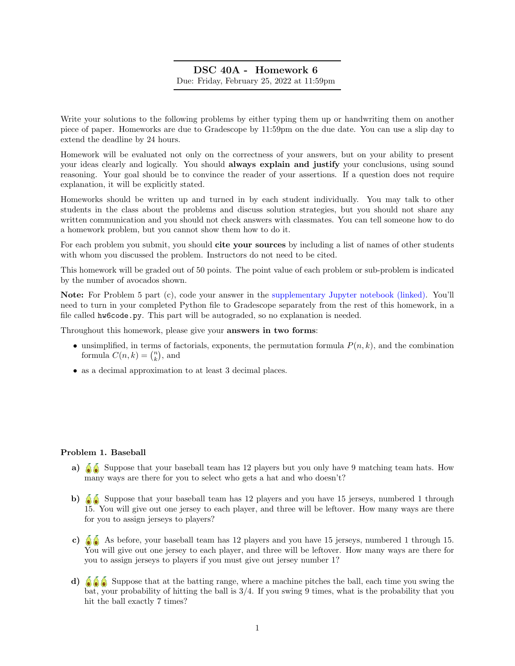# DSC 40A - Homework 6 Due: Friday, February 25, 2022 at 11:59pm

Write your solutions to the following problems by either typing them up or handwriting them on another piece of paper. Homeworks are due to Gradescope by 11:59pm on the due date. You can use a slip day to extend the deadline by 24 hours.

Homework will be evaluated not only on the correctness of your answers, but on your ability to present your ideas clearly and logically. You should always explain and justify your conclusions, using sound reasoning. Your goal should be to convince the reader of your assertions. If a question does not require explanation, it will be explicitly stated.

Homeworks should be written up and turned in by each student individually. You may talk to other students in the class about the problems and discuss solution strategies, but you should not share any written communication and you should not check answers with classmates. You can tell someone how to do a homework problem, but you cannot show them how to do it.

For each problem you submit, you should cite your sources by including a list of names of other students with whom you discussed the problem. Instructors do not need to be cited.

This homework will be graded out of 50 points. The point value of each problem or sub-problem is indicated by the number of avocados shown.

Note: For Problem 5 part (c), code your answer in the [supplementary Jupyter notebook \(linked\).](http://datahub.ucsd.edu/user-redirect/git-sync?repo=https://github.com/dsc-courses/dsc40a-2022-wi&subPath=resources/homework/hw6/hw6code.ipynb) You'll need to turn in your completed Python file to Gradescope separately from the rest of this homework, in a file called hw6code.py. This part will be autograded, so no explanation is needed.

Throughout this homework, please give your answers in two forms:

- unsimplified, in terms of factorials, exponents, the permutation formula  $P(n, k)$ , and the combination formula  $C(n, k) = {n \choose k}$ , and
- as a decimal approximation to at least 3 decimal places.

## Problem 1. Baseball

- a)  $\delta$  Suppose that your baseball team has 12 players but you only have 9 matching team hats. How many ways are there for you to select who gets a hat and who doesn't?
- b)  $\delta$  Suppose that your baseball team has 12 players and you have 15 jerseys, numbered 1 through 15. You will give out one jersey to each player, and three will be leftover. How many ways are there for you to assign jerseys to players?
- c)  $\delta$   $\delta$  As before, your baseball team has 12 players and you have 15 jerseys, numbered 1 through 15. You will give out one jersey to each player, and three will be leftover. How many ways are there for you to assign jerseys to players if you must give out jersey number 1?
- d)  $\delta$   $\delta$  Suppose that at the batting range, where a machine pitches the ball, each time you swing the bat, your probability of hitting the ball is 3/4. If you swing 9 times, what is the probability that you hit the ball exactly 7 times?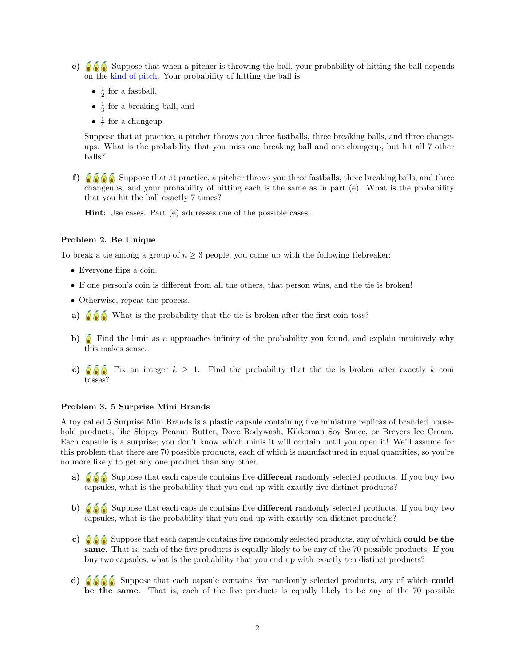- e)  $\bullet$   $\bullet$   $\bullet$  Suppose that when a pitcher is throwing the ball, your probability of hitting the ball depends on the [kind of pitch.](https://en.wikipedia.org/wiki/Pitch_(baseball)) Your probability of hitting the ball is
	- $\frac{1}{2}$  for a fastball,
	- $\bullet$   $\frac{1}{3}$  for a breaking ball, and
	- $\frac{1}{4}$  for a changeup

Suppose that at practice, a pitcher throws you three fastballs, three breaking balls, and three changeups. What is the probability that you miss one breaking ball and one changeup, but hit all 7 other balls?

f)  $\delta$   $\delta$   $\delta$  Suppose that at practice, a pitcher throws you three fastballs, three breaking balls, and three changeups, and your probability of hitting each is the same as in part (e). What is the probability that you hit the ball exactly 7 times?

Hint: Use cases. Part (e) addresses one of the possible cases.

# Problem 2. Be Unique

To break a tie among a group of  $n \geq 3$  people, you come up with the following tiebreaker:

- Everyone flips a coin.
- If one person's coin is different from all the others, that person wins, and the tie is broken!
- Otherwise, repeat the process.
- a)  $\delta \delta$  What is the probability that the tie is broken after the first coin toss?
- b)  $\delta$  Find the limit as n approaches infinity of the probability you found, and explain intuitively why this makes sense.
- c)  $\bigotimes_{k=0}^{\infty}$  Fix an integer  $k \geq 1$ . Find the probability that the tie is broken after exactly k coin tosses?

# Problem 3. 5 Surprise Mini Brands

A toy called 5 Surprise Mini Brands is a plastic capsule containing five miniature replicas of branded household products, like Skippy Peanut Butter, Dove Bodywash, Kikkoman Soy Sauce, or Breyers Ice Cream. Each capsule is a surprise; you don't know which minis it will contain until you open it! We'll assume for this problem that there are 70 possible products, each of which is manufactured in equal quantities, so you're no more likely to get any one product than any other.

- a)  $\partial \partial \partial \partial \partial$  Suppose that each capsule contains five different randomly selected products. If you buy two capsules, what is the probability that you end up with exactly five distinct products?
- b)  $\hat{\mathbf{\Theta}}$  Suppose that each capsule contains five different randomly selected products. If you buy two capsules, what is the probability that you end up with exactly ten distinct products?
- c)  $\hat{\mathbf{\delta}}$  Suppose that each capsule contains five randomly selected products, any of which **could be the** same. That is, each of the five products is equally likely to be any of the 70 possible products. If you buy two capsules, what is the probability that you end up with exactly ten distinct products?
- d)  $\delta$   $\delta$   $\delta$  Suppose that each capsule contains five randomly selected products, any of which could be the same. That is, each of the five products is equally likely to be any of the 70 possible